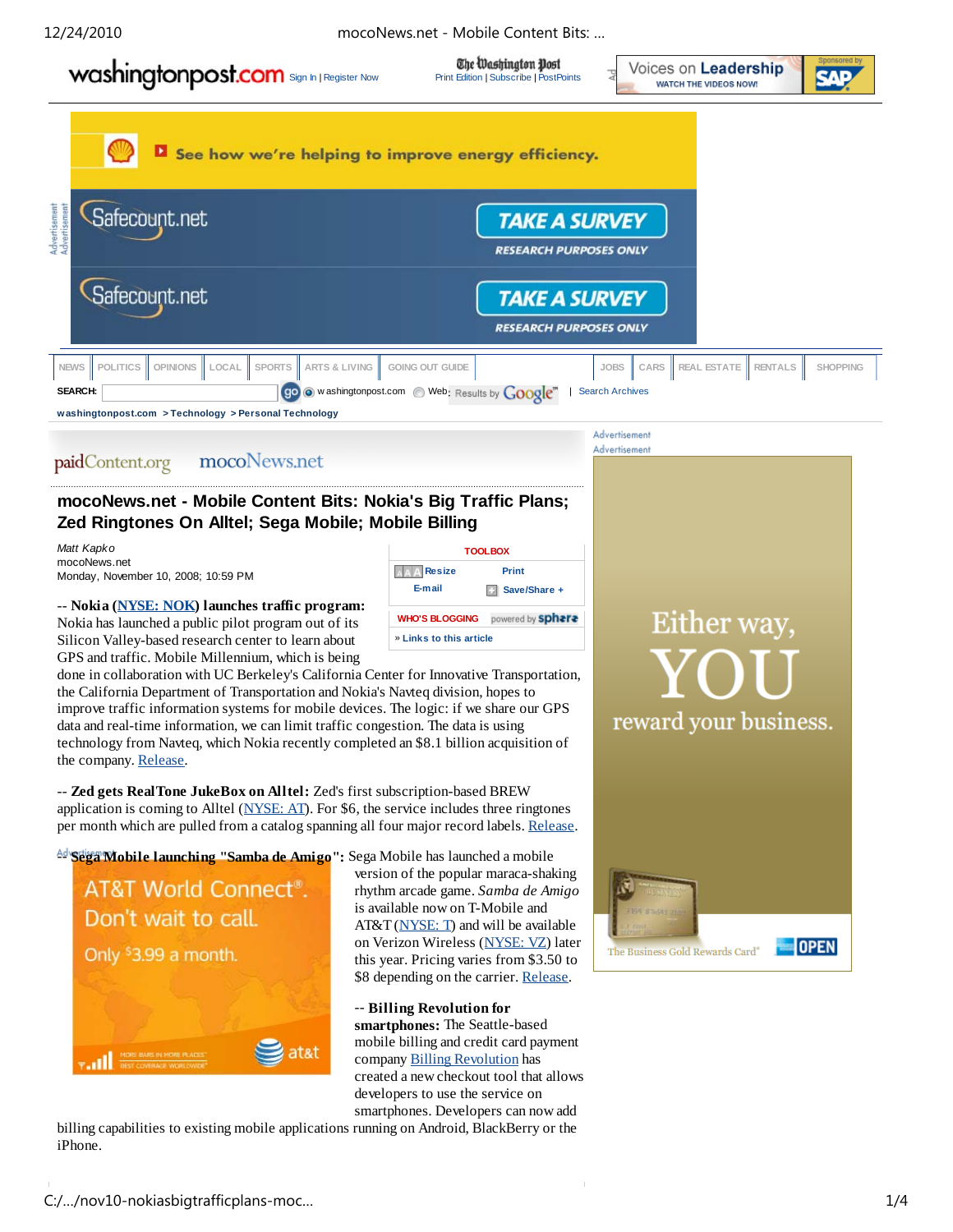12/24/2010 mocoNews.net - Mobile Content Bits: …

The Washington Post **Washington post**<br>
State Washington PostPoints (PostPoints Point Edition | Subscribe | PostPoints

Voices on Leadership **WATCH THE VIDEOS NOW!** 

Advertisement Advertisement



See how we're helping to improve energy efficiency. Safecount.net **TAKE A SURVEY RESEARCH PURPOSES ONLY** Safecount.net **TAKE A SURVEY RESEARCH PURPOSES ONLY NEWS POLITICS OPINIONS LOCAL SPORTS ARTS & LIVING GOING OUT GUIDE JOBS CARS REAL ESTATE RENTALS SHOPPING SEARCH:** w ashingtonpost.com Web: Results by **Google**<sup>m</sup> | Search Archives **washingtonpost.com > Technology > Personal Technology**

### mocoNews.net paidContent.org

# **mocoNews.net - Mobile Content Bits: Nokia's Big Traffic Plans; Zed Ringtones On Alltel; Sega Mobile; Mobile Billing**

*Matt Kapko* mocoNews.net Monday, November 10, 2008; 10:59 PM

-- **Nokia (NYSE: NOK) launches traffic program:** Nokia has launched a public pilot program out of its Silicon Valley-based research center to learn about GPS and traffic. Mobile Millennium, which is being

**TOOLBOX AAA** Resize **Print E-mail Save/Share + WHO'S BLOGGING** powered by sphere » **Links to this article**

done in collaboration with UC Berkeley's California Center for Innovative Transportation, the California Department of Transportation and Nokia's Navteq division, hopes to improve traffic information systems for mobile devices. The logic: if we share our GPS data and real-time information, we can limit traffic congestion. The data is using technology from Navteq, which Nokia recently completed an \$8.1 billion acquisition of the company. Release.

-- **Zed gets RealTone JukeBox on Alltel:** Zed's first subscription-based BREW application is coming to Alltel (NYSE:  $AT$ ). For \$6, the service includes three ringtones per month which are pulled from a catalog spanning all four major record labels. Release.

<sup>Ad</sup> Sega Mobile launching "Samba de Amigo": Sega Mobile has launched a mobile



version of the popular maraca-shaking rhythm arcade game. *Samba de Amigo* is available now on T-Mobile and AT&T (NYSE: T) and will be available on Verizon Wireless (NYSE: VZ) later this year. Pricing varies from \$3.50 to \$8 depending on the carrier. Release.

-- **Billing Revolution for smartphones:** The Seattle-based mobile billing and credit card payment company Billing Revolution has created a new checkout tool that allows developers to use the service on smartphones. Developers can now add

billing capabilities to existing mobile applications running on Android, BlackBerry or the iPhone.



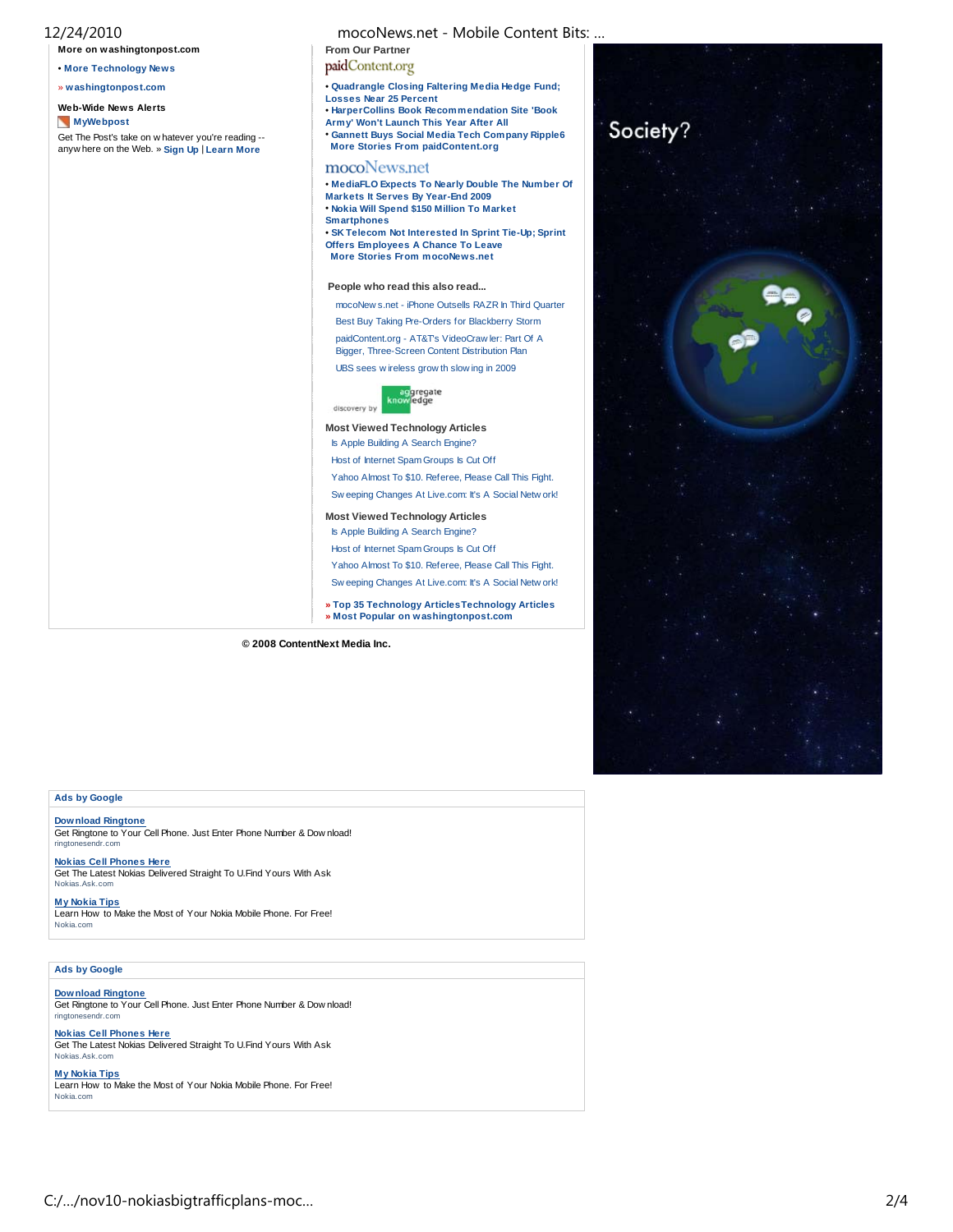| 12/24/2010<br>More on washingtonpost.com                                                          | mocoNews.net - Mobile Content Bits:<br>From Our Partner                                                                                                                                                                                                   |          |
|---------------------------------------------------------------------------------------------------|-----------------------------------------------------------------------------------------------------------------------------------------------------------------------------------------------------------------------------------------------------------|----------|
| . More Technology News                                                                            | paidContent.org                                                                                                                                                                                                                                           |          |
| » washingtonpost.com                                                                              | . Quadrangle Closing Faltering Media Hedge Fund;<br><b>Losses Near 25 Percent</b>                                                                                                                                                                         |          |
| <b>Web-Wide News Alerts</b>                                                                       | <b>• HarperCollins Book Recommendation Site 'Book</b>                                                                                                                                                                                                     |          |
| <b>MyWebpost</b>                                                                                  | Army' Won't Launch This Year After All                                                                                                                                                                                                                    | Society? |
| Get The Post's take on w hatever you're reading --<br>anywhere on the Web. » Sign Up   Learn More | • Gannett Buys Social Media Tech Company Ripple6<br><b>More Stories From paidContent.org</b>                                                                                                                                                              |          |
|                                                                                                   | mocoNews.net                                                                                                                                                                                                                                              |          |
|                                                                                                   | . MediaFLO Expects To Nearly Double The Number Of<br>Markets It Serves By Year-End 2009<br>. Nokia Will Spend \$150 Million To Market<br><b>Smartphones</b><br>• SK Telecom Not Interested In Sprint Tie-Up; Sprint<br>Offers Employees A Chance To Leave |          |
|                                                                                                   | <b>More Stories From mocoNews.net</b>                                                                                                                                                                                                                     |          |
|                                                                                                   | People who read this also read                                                                                                                                                                                                                            |          |
|                                                                                                   | mocoNew s.net - iPhone Outsells RAZR In Third Quarter                                                                                                                                                                                                     |          |
|                                                                                                   | Best Buy Taking Pre-Orders for Blackberry Storm                                                                                                                                                                                                           |          |
|                                                                                                   | paidContent.org - AT&Ts VideoCraw ler: Part Of A<br>Bigger, Three-Screen Content Distribution Plan                                                                                                                                                        |          |
|                                                                                                   | UBS sees wireless grow th slowing in 2009                                                                                                                                                                                                                 |          |
|                                                                                                   | aggregate<br>knowledge<br>discovery by                                                                                                                                                                                                                    |          |
|                                                                                                   | <b>Most Viewed Technology Articles</b>                                                                                                                                                                                                                    |          |
|                                                                                                   | Is Apple Building A Search Engine?                                                                                                                                                                                                                        |          |
|                                                                                                   | Host of Internet Spam Groups Is Cut Off                                                                                                                                                                                                                   |          |
|                                                                                                   | Yahoo Almost To \$10. Referee, Please Call This Fight.                                                                                                                                                                                                    |          |
|                                                                                                   | Sw eeping Changes At Live.com: It's A Social Netw ork!                                                                                                                                                                                                    |          |
|                                                                                                   | <b>Most Viewed Technology Articles</b>                                                                                                                                                                                                                    |          |
|                                                                                                   | Is Apple Building A Search Engine?                                                                                                                                                                                                                        |          |
|                                                                                                   | Host of Internet Spam Groups Is Cut Off                                                                                                                                                                                                                   |          |
|                                                                                                   | Yahoo Almost To \$10. Referee, Please Call This Fight.                                                                                                                                                                                                    |          |
|                                                                                                   | Sw eeping Changes At Live.com: It's A Social Netw ork!                                                                                                                                                                                                    |          |
|                                                                                                   | » Top 35 Technology Articles Technology Articles<br>» Most Popular on washingtonpost.com                                                                                                                                                                  |          |

## **Ads by Google**

**Download Ringtone** Get Ringtone to Your Cell Phone. Just Enter Phone Number & Dow nload! ringtonesendr.com

**Nokias Cell Phones Here**<br>Get The Latest Nokias Delivered Straight To U.Find Yours With Ask<br><sub>Nokias.Ask.com</sub>

**My Nokia Tips** Learn How to Make the Most of Your Nokia Mobile Phone. For Free! Nokia.com

## **Ads by Google**

### **Download Ringtone**

Get Ringtone to Your Cell Phone. Just Enter Phone Number & Dow nload! ringtonesendr.com

### **Nokias Cell Phones Here**

Get The Latest Nokias Delivered Straight To U.Find Yours With Ask Nokias.Ask.com

**My Nokia Tips** Learn How to Make the Most of Your Nokia Mobile Phone. For Free! Nokia.com

**© 2008 ContentNext Media Inc.**

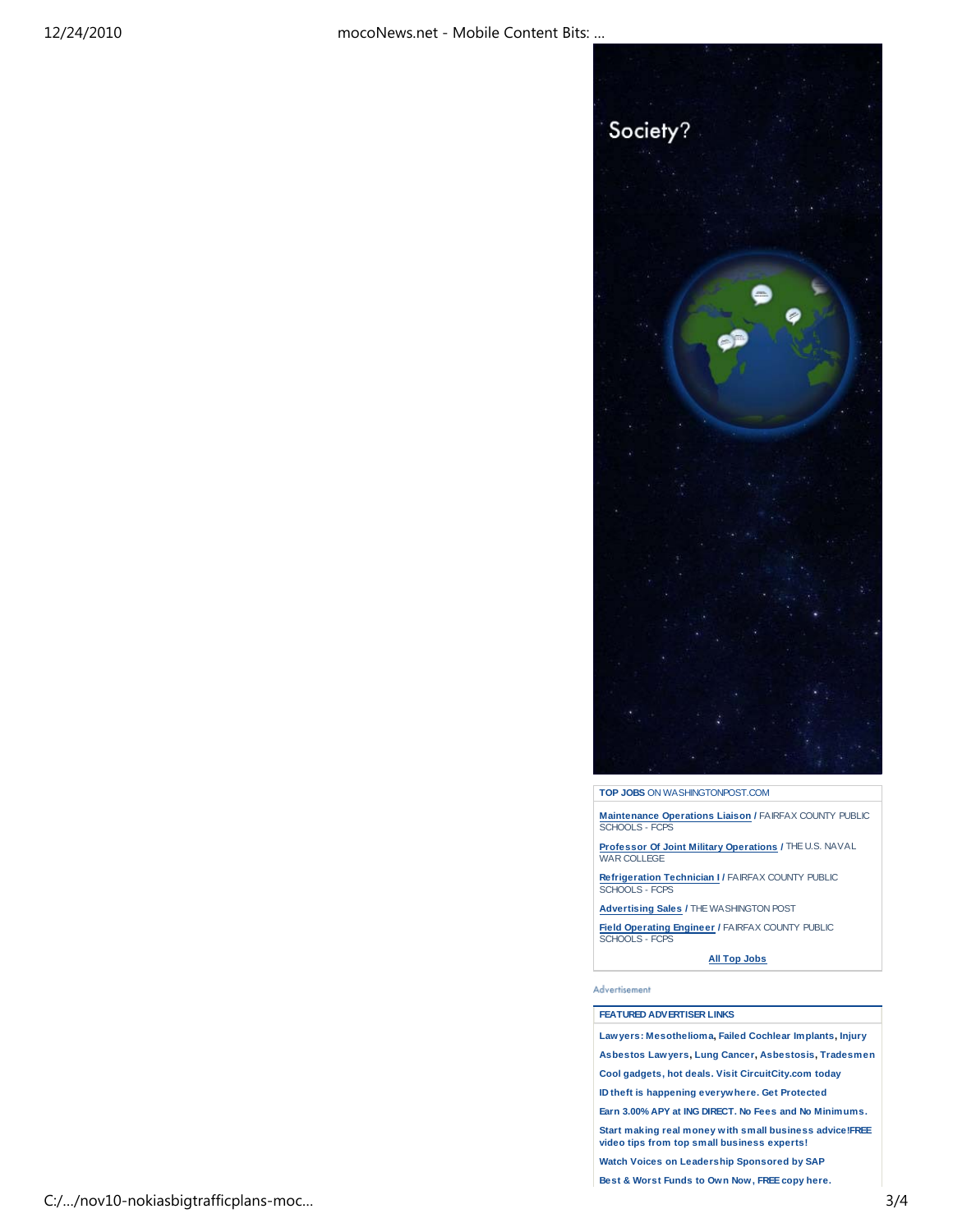

**TOP JOBS** ON WASHINGTONPOST.COM

**Maintenance Operations Liaison /** FAIRFAX COUNTY PUBLIC SCHOOLS - FCPS

**Professor Of Joint Military Operations /** THE U.S. NAVAL<br>WAR COLLEGE

**Refrigeration Technician I /** FAIRFAX COUNTY PUBLIC SCHOOLS - FCPS

**Advertising Sales /** THE WASHINGTON POST

**Field Operating Engineer / FAIRFAX COUNTY PUBLIC** SCHOOLS - FCPS

**All Top Jobs**

Advertisement

### **FEATURED ADVERTISER LINKS**

**Lawyers: Mesothelioma, Failed Cochlear Implants, Injury**

**Asbestos Lawyers, Lung Cancer, Asbestosis, Tradesmen**

**Cool gadgets, hot deals. Visit CircuitCity.com today**

**ID theft is happening everywhere. Get Protected**

**Earn 3.00% APY at ING DIRECT. No Fees and No Minimums.**

**Start making real money with small business advice!FREE video tips from top small business experts!**

**Watch Voices on Leadership Sponsored by SAP**

**Best & Worst Funds to Own Now, FREE copy here.**